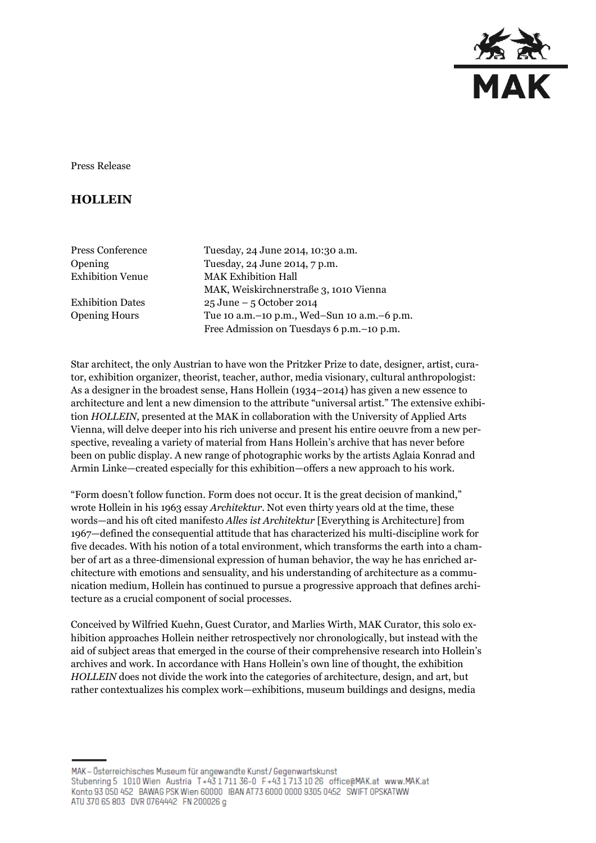

Press Release

## **HOLLEIN**

| Press Conference        | Tuesday, 24 June 2014, 10:30 a.m.               |
|-------------------------|-------------------------------------------------|
| Opening                 | Tuesday, 24 June 2014, 7 p.m.                   |
| <b>Exhibition Venue</b> | <b>MAK Exhibition Hall</b>                      |
|                         | MAK, Weiskirchnerstraße 3, 1010 Vienna          |
| <b>Exhibition Dates</b> | $25 \text{ June} - 5 \text{ October } 2014$     |
| <b>Opening Hours</b>    | Tue 10 a.m. - 10 p.m., Wed-Sun 10 a.m. - 6 p.m. |
|                         | Free Admission on Tuesdays 6 p.m. - 10 p.m.     |

Star architect, the only Austrian to have won the Pritzker Prize to date, designer, artist, curator, exhibition organizer, theorist, teacher, author, media visionary, cultural anthropologist: As a designer in the broadest sense, Hans Hollein (1934–2014) has given a new essence to architecture and lent a new dimension to the attribute "universal artist." The extensive exhibition *HOLLEIN*, presented at the MAK in collaboration with the University of Applied Arts Vienna, will delve deeper into his rich universe and present his entire oeuvre from a new perspective, revealing a variety of material from Hans Hollein's archive that has never before been on public display. A new range of photographic works by the artists Aglaia Konrad and Armin Linke—created especially for this exhibition—offers a new approach to his work.

"Form doesn't follow function. Form does not occur. It is the great decision of mankind," wrote Hollein in his 1963 essay *Architektur*. Not even thirty years old at the time, these words—and his oft cited manifesto *Alles ist Architektur* [Everything is Architecture] from 1967—defined the consequential attitude that has characterized his multi-discipline work for five decades. With his notion of a total environment, which transforms the earth into a chamber of art as a three-dimensional expression of human behavior, the way he has enriched architecture with emotions and sensuality, and his understanding of architecture as a communication medium, Hollein has continued to pursue a progressive approach that defines architecture as a crucial component of social processes.

Conceived by Wilfried Kuehn, Guest Curator, and Marlies Wirth, MAK Curator, this solo exhibition approaches Hollein neither retrospectively nor chronologically, but instead with the aid of subject areas that emerged in the course of their comprehensive research into Hollein's archives and work. In accordance with Hans Hollein's own line of thought, the exhibition *HOLLEIN* does not divide the work into the categories of architecture, design, and art, but rather contextualizes his complex work—exhibitions, museum buildings and designs, media

MAK - Österreichisches Museum für angewandte Kunst/Gegenwartskunst Stubenring 5 1010 Wien Austria T+43 1711 36-0 F+43 1713 10 26 office@MAK.at www.MAK.at Konto 93 050 452 BAWAG PSK Wien 60000 IBAN AT73 6000 0000 9305 0452 SWIFT OPSKATWW ATU 370 65 803 DVR 0764442 FN 200026 g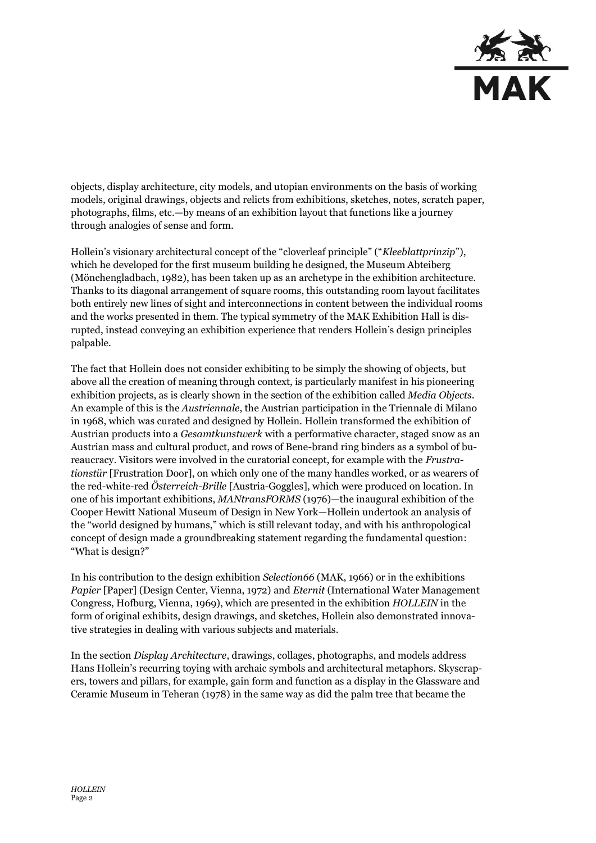

objects, display architecture, city models, and utopian environments on the basis of working models, original drawings, objects and relicts from exhibitions, sketches, notes, scratch paper, photographs, films, etc.—by means of an exhibition layout that functions like a journey through analogies of sense and form.

Hollein's visionary architectural concept of the "cloverleaf principle" ("*Kleeblattprinzip*"), which he developed for the first museum building he designed, the Museum Abteiberg (Mönchengladbach, 1982), has been taken up as an archetype in the exhibition architecture. Thanks to its diagonal arrangement of square rooms, this outstanding room layout facilitates both entirely new lines of sight and interconnections in content between the individual rooms and the works presented in them. The typical symmetry of the MAK Exhibition Hall is disrupted, instead conveying an exhibition experience that renders Hollein's design principles palpable.

The fact that Hollein does not consider exhibiting to be simply the showing of objects, but above all the creation of meaning through context, is particularly manifest in his pioneering exhibition projects, as is clearly shown in the section of the exhibition called *Media Objects*. An example of this is the *Austriennale*, the Austrian participation in the Triennale di Milano in 1968, which was curated and designed by Hollein. Hollein transformed the exhibition of Austrian products into a *Gesamtkunstwerk* with a performative character, staged snow as an Austrian mass and cultural product, and rows of Bene-brand ring binders as a symbol of bureaucracy. Visitors were involved in the curatorial concept, for example with the *Frustrationstür* [Frustration Door], on which only one of the many handles worked, or as wearers of the red-white-red *Österreich-Brille* [Austria-Goggles], which were produced on location. In one of his important exhibitions, *MANtransFORMS* (1976)—the inaugural exhibition of the Cooper Hewitt National Museum of Design in New York—Hollein undertook an analysis of the "world designed by humans," which is still relevant today, and with his anthropological concept of design made a groundbreaking statement regarding the fundamental question: "What is design?"

In his contribution to the design exhibition *Selection66* (MAK, 1966) or in the exhibitions *Papier* [Paper] (Design Center, Vienna, 1972) and *Eternit* (International Water Management Congress, Hofburg, Vienna, 1969), which are presented in the exhibition *HOLLEIN* in the form of original exhibits, design drawings, and sketches, Hollein also demonstrated innovative strategies in dealing with various subjects and materials.

In the section *Display Architecture*, drawings, collages, photographs, and models address Hans Hollein's recurring toying with archaic symbols and architectural metaphors. Skyscrapers, towers and pillars, for example, gain form and function as a display in the Glassware and Ceramic Museum in Teheran (1978) in the same way as did the palm tree that became the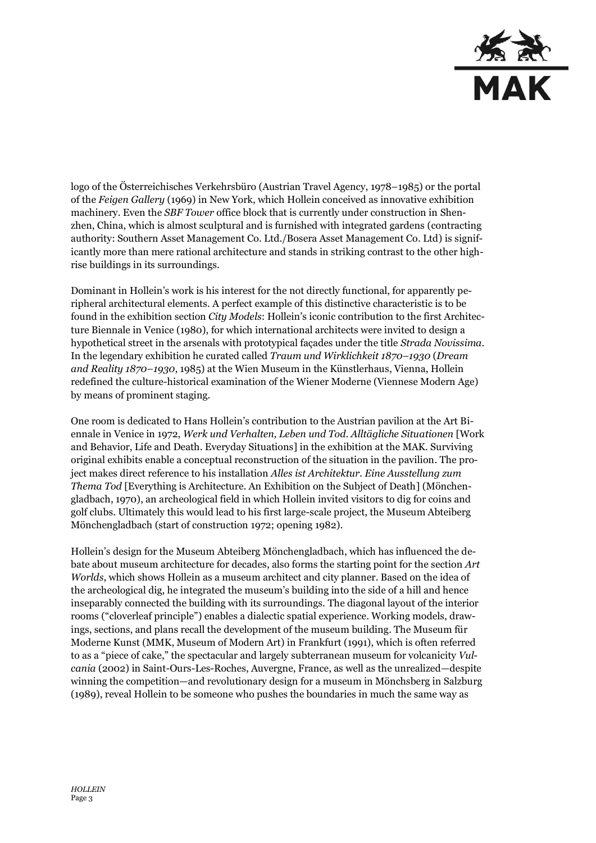

logo of the Österreichisches Verkehrsbüro (Austrian Travel Agency, 1978–1985) or the portal of the *Feigen Gallery* (1969) in New York, which Hollein conceived as innovative exhibition machinery. Even the *SBF Tower* office block that is currently under construction in Shenzhen, China, which is almost sculptural and is furnished with integrated gardens (contracting authority: Southern Asset Management Co. Ltd./Bosera Asset Management Co. Ltd) is significantly more than mere rational architecture and stands in striking contrast to the other highrise buildings in its surroundings.

Dominant in Hollein's work is his interest for the not directly functional, for apparently peripheral architectural elements. A perfect example of this distinctive characteristic is to be found in the exhibition section *City Models*: Hollein's iconic contribution to the first Architecture Biennale in Venice (1980), for which international architects were invited to design a hypothetical street in the arsenals with prototypical façades under the title *Strada Novissima*. In the legendary exhibition he curated called *Traum und Wirklichkeit 1870–1930* (*Dream and Reality 1870–1930*, 1985) at the Wien Museum in the Künstlerhaus, Vienna, Hollein redefined the culture-historical examination of the Wiener Moderne (Viennese Modern Age) by means of prominent staging.

One room is dedicated to Hans Hollein's contribution to the Austrian pavilion at the Art Biennale in Venice in 1972, *Werk und Verhalten, Leben und Tod. Alltägliche Situationen* [Work and Behavior, Life and Death. Everyday Situations] in the exhibition at the MAK. Surviving original exhibits enable a conceptual reconstruction of the situation in the pavilion. The project makes direct reference to his installation *Alles ist Architektur. Eine Ausstellung zum Thema Tod* [Everything is Architecture. An Exhibition on the Subject of Death] (Mönchengladbach, 1970), an archeological field in which Hollein invited visitors to dig for coins and golf clubs. Ultimately this would lead to his first large-scale project, the Museum Abteiberg Mönchengladbach (start of construction 1972; opening 1982).

Hollein's design for the Museum Abteiberg Mönchengladbach, which has influenced the debate about museum architecture for decades, also forms the starting point for the section *Art Worlds*, which shows Hollein as a museum architect and city planner. Based on the idea of the archeological dig, he integrated the museum's building into the side of a hill and hence inseparably connected the building with its surroundings. The diagonal layout of the interior rooms ("cloverleaf principle") enables a dialectic spatial experience. Working models, drawings, sections, and plans recall the development of the museum building. The Museum für Moderne Kunst (MMK, Museum of Modern Art) in Frankfurt (1991), which is often referred to as a "piece of cake," the spectacular and largely subterranean museum for volcanicity *Vulcania* (2002) in Saint-Ours-Les-Roches, Auvergne, France, as well as the unrealized—despite winning the competition—and revolutionary design for a museum in Mönchsberg in Salzburg (1989), reveal Hollein to be someone who pushes the boundaries in much the same way as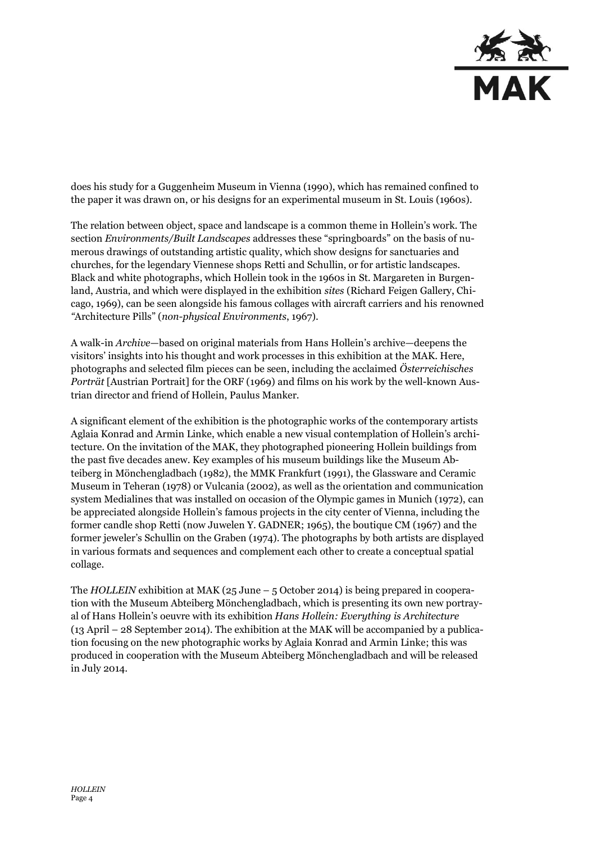

does his study for a Guggenheim Museum in Vienna (1990), which has remained confined to the paper it was drawn on, or his designs for an experimental museum in St. Louis (1960s).

The relation between object, space and landscape is a common theme in Hollein's work. The section *Environments/Built Landscapes* addresses these "springboards" on the basis of numerous drawings of outstanding artistic quality, which show designs for sanctuaries and churches, for the legendary Viennese shops Retti and Schullin, or for artistic landscapes. Black and white photographs, which Hollein took in the 1960s in St. Margareten in Burgenland, Austria, and which were displayed in the exhibition *sites* (Richard Feigen Gallery, Chicago, 1969), can be seen alongside his famous collages with aircraft carriers and his renowned *"*Architecture Pills" (*non-physical Environments*, 1967).

A walk-in *Archive*—based on original materials from Hans Hollein's archive—deepens the visitors' insights into his thought and work processes in this exhibition at the MAK. Here, photographs and selected film pieces can be seen, including the acclaimed *Österreichisches Porträt* [Austrian Portrait] for the ORF (1969) and films on his work by the well-known Austrian director and friend of Hollein, Paulus Manker.

A significant element of the exhibition is the photographic works of the contemporary artists Aglaia Konrad and Armin Linke, which enable a new visual contemplation of Hollein's architecture. On the invitation of the MAK, they photographed pioneering Hollein buildings from the past five decades anew. Key examples of his museum buildings like the Museum Abteiberg in Mönchengladbach (1982), the MMK Frankfurt (1991), the Glassware and Ceramic Museum in Teheran (1978) or Vulcania (2002), as well as the orientation and communication system Medialines that was installed on occasion of the Olympic games in Munich (1972), can be appreciated alongside Hollein's famous projects in the city center of Vienna, including the former candle shop Retti (now Juwelen Y. GADNER; 1965), the boutique CM (1967) and the former jeweler's Schullin on the Graben (1974). The photographs by both artists are displayed in various formats and sequences and complement each other to create a conceptual spatial collage.

The *HOLLEIN* exhibition at MAK (25 June – 5 October 2014) is being prepared in cooperation with the Museum Abteiberg Mönchengladbach, which is presenting its own new portrayal of Hans Hollein's oeuvre with its exhibition *Hans Hollein: Everything is Architecture*  (13 April – 28 September 2014). The exhibition at the MAK will be accompanied by a publication focusing on the new photographic works by Aglaia Konrad and Armin Linke; this was produced in cooperation with the Museum Abteiberg Mönchengladbach and will be released in July 2014.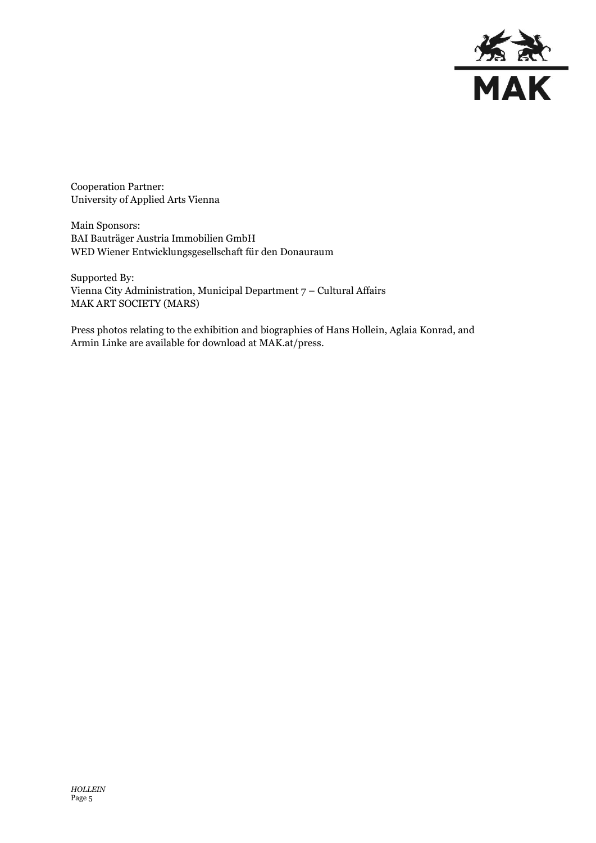

Cooperation Partner: University of Applied Arts Vienna

Main Sponsors: BAI Bauträger Austria Immobilien GmbH WED Wiener Entwicklungsgesellschaft für den Donauraum

Supported By: Vienna City Administration, Municipal Department 7 – Cultural Affairs MAK ART SOCIETY (MARS)

Press photos relating to the exhibition and biographies of Hans Hollein, Aglaia Konrad, and Armin Linke are available for download at MAK.at/press.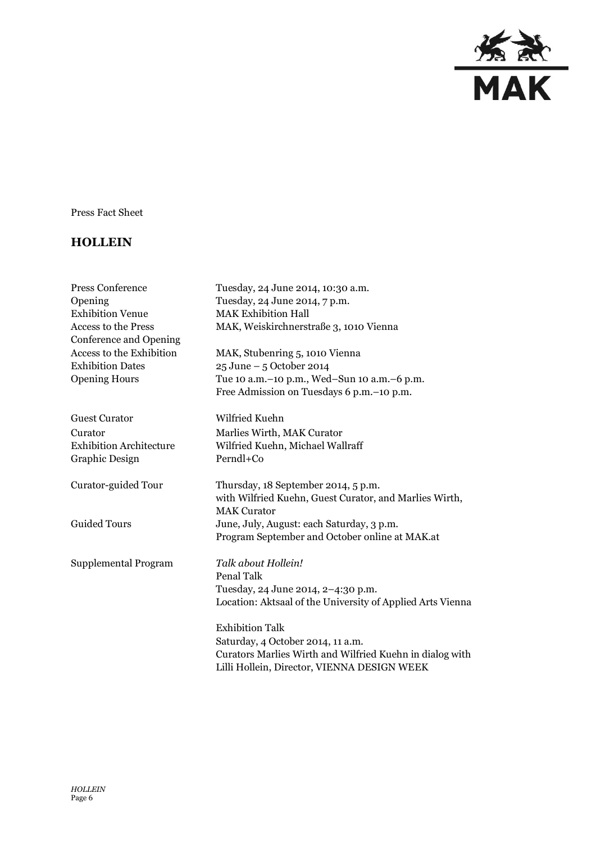

Press Fact Sheet

## **HOLLEIN**

| <b>Press Conference</b><br>Opening<br><b>Exhibition Venue</b> | Tuesday, 24 June 2014, 10:30 a.m.<br>Tuesday, 24 June 2014, 7 p.m.<br><b>MAK Exhibition Hall</b> |
|---------------------------------------------------------------|--------------------------------------------------------------------------------------------------|
| <b>Access to the Press</b><br>Conference and Opening          | MAK, Weiskirchnerstraße 3, 1010 Vienna                                                           |
| Access to the Exhibition                                      | MAK, Stubenring 5, 1010 Vienna                                                                   |
| <b>Exhibition Dates</b>                                       | 25 June - 5 October 2014                                                                         |
| <b>Opening Hours</b>                                          | Tue 10 a.m.-10 p.m., Wed-Sun 10 a.m.-6 p.m.                                                      |
|                                                               | Free Admission on Tuesdays 6 p.m. - 10 p.m.                                                      |
| <b>Guest Curator</b>                                          | Wilfried Kuehn                                                                                   |
| Curator                                                       | Marlies Wirth, MAK Curator                                                                       |
| <b>Exhibition Architecture</b>                                | Wilfried Kuehn, Michael Wallraff                                                                 |
| Graphic Design                                                | Perndl+Co                                                                                        |
| Curator-guided Tour                                           | Thursday, 18 September 2014, 5 p.m.<br>with Wilfried Kuehn, Guest Curator, and Marlies Wirth,    |
|                                                               | <b>MAK Curator</b>                                                                               |
| <b>Guided Tours</b>                                           | June, July, August: each Saturday, 3 p.m.<br>Program September and October online at MAK.at      |
| Supplemental Program                                          | Talk about Hollein!                                                                              |
|                                                               | Penal Talk                                                                                       |
|                                                               | Tuesday, 24 June 2014, 2-4:30 p.m.                                                               |
|                                                               | Location: Aktsaal of the University of Applied Arts Vienna                                       |
|                                                               | <b>Exhibition Talk</b>                                                                           |
|                                                               | Saturday, 4 October 2014, 11 a.m.                                                                |
|                                                               | Curators Marlies Wirth and Wilfried Kuehn in dialog with                                         |
|                                                               | Lilli Hollein, Director, VIENNA DESIGN WEEK                                                      |